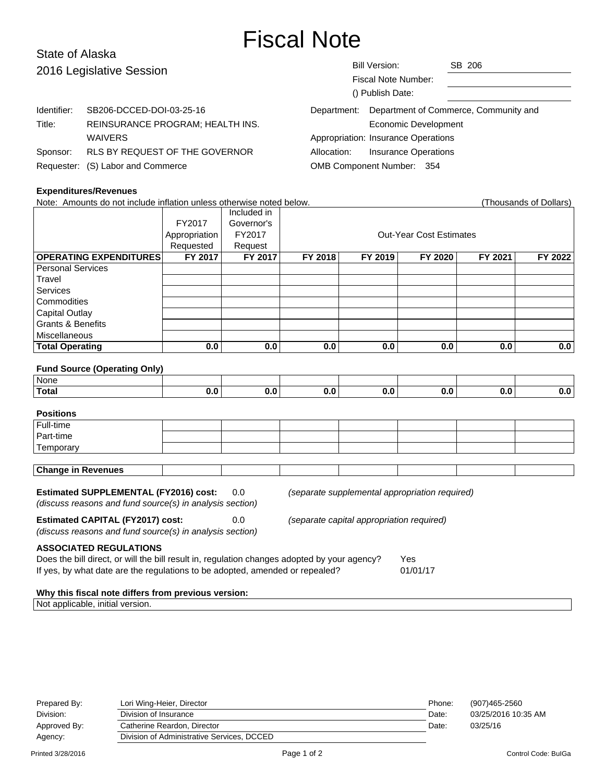# Fiscal Note

| Department: Department of Commerce, Community and |
|---------------------------------------------------|
|                                                   |
|                                                   |

## **Expenditures/Revenues**

| Note: Amounts do not include inflation unless otherwise noted below.                                                                                              |                |                |                                |         |         |         | (Thousands of Dollars) |  |  |
|-------------------------------------------------------------------------------------------------------------------------------------------------------------------|----------------|----------------|--------------------------------|---------|---------|---------|------------------------|--|--|
|                                                                                                                                                                   |                | Included in    |                                |         |         |         |                        |  |  |
|                                                                                                                                                                   | FY2017         | Governor's     |                                |         |         |         |                        |  |  |
|                                                                                                                                                                   | Appropriation  | FY2017         | <b>Out-Year Cost Estimates</b> |         |         |         |                        |  |  |
|                                                                                                                                                                   | Requested      | Request        |                                |         |         |         |                        |  |  |
| <b>OPERATING EXPENDITURES</b>                                                                                                                                     | <b>FY 2017</b> | <b>FY 2017</b> | FY 2018                        | FY 2019 | FY 2020 | FY 2021 | FY 2022                |  |  |
| <b>Personal Services</b>                                                                                                                                          |                |                |                                |         |         |         |                        |  |  |
| Travel                                                                                                                                                            |                |                |                                |         |         |         |                        |  |  |
| Services                                                                                                                                                          |                |                |                                |         |         |         |                        |  |  |
| Commodities                                                                                                                                                       |                |                |                                |         |         |         |                        |  |  |
| <b>Capital Outlay</b>                                                                                                                                             |                |                |                                |         |         |         |                        |  |  |
| <b>Grants &amp; Benefits</b>                                                                                                                                      |                |                |                                |         |         |         |                        |  |  |
| Miscellaneous                                                                                                                                                     |                |                |                                |         |         |         |                        |  |  |
| <b>Total Operating</b>                                                                                                                                            | 0.0            | 0.0            | 0.0                            | 0.0     | 0.0     | 0.0     | 0.0                    |  |  |
|                                                                                                                                                                   |                |                |                                |         |         |         |                        |  |  |
| <b>Fund Source (Operating Only)</b>                                                                                                                               |                |                |                                |         |         |         |                        |  |  |
| None                                                                                                                                                              |                |                |                                |         |         |         |                        |  |  |
| <b>Total</b>                                                                                                                                                      | 0.0            | 0.0            | 0.0                            | 0.0     | 0.0     | 0.0     | 0.0                    |  |  |
|                                                                                                                                                                   |                |                |                                |         |         |         |                        |  |  |
| <b>Positions</b>                                                                                                                                                  |                |                |                                |         |         |         |                        |  |  |
| Full-time                                                                                                                                                         |                |                |                                |         |         |         |                        |  |  |
| Part-time                                                                                                                                                         |                |                |                                |         |         |         |                        |  |  |
| Temporary                                                                                                                                                         |                |                |                                |         |         |         |                        |  |  |
|                                                                                                                                                                   |                |                |                                |         |         |         |                        |  |  |
| <b>Change in Revenues</b>                                                                                                                                         |                |                |                                |         |         |         |                        |  |  |
| <b>Estimated SUPPLEMENTAL (FY2016) cost:</b><br>0.0<br>(separate supplemental appropriation required)<br>(discuss reasons and fund source(s) in analysis section) |                |                |                                |         |         |         |                        |  |  |
|                                                                                                                                                                   |                |                |                                |         |         |         |                        |  |  |
| <b>Estimated CAPITAL (FY2017) cost:</b><br>0.0<br>(separate capital appropriation required)                                                                       |                |                |                                |         |         |         |                        |  |  |
| (discuss reasons and fund source(s) in analysis section)                                                                                                          |                |                |                                |         |         |         |                        |  |  |
| <b>ASSOCIATED REGULATIONS</b>                                                                                                                                     |                |                |                                |         |         |         |                        |  |  |
| Does the bill direct, or will the bill result in, regulation changes adopted by your agency?<br>Yes                                                               |                |                |                                |         |         |         |                        |  |  |
| If yes, by what date are the regulations to be adopted, amended or repealed?<br>01/01/17                                                                          |                |                |                                |         |         |         |                        |  |  |
|                                                                                                                                                                   |                |                |                                |         |         |         |                        |  |  |
| Why this fiscal note differs from previous version:                                                                                                               |                |                |                                |         |         |         |                        |  |  |
| Not applicable, initial version.                                                                                                                                  |                |                |                                |         |         |         |                        |  |  |

| Prepared By: | Lori Wing-Heier, Director                  | Phone: | (907)465-2560       |
|--------------|--------------------------------------------|--------|---------------------|
| Division:    | Division of Insurance                      | Date:  | 03/25/2016 10:35 AM |
| Approved By: | Catherine Reardon. Director                | Date:  | 03/25/16            |
| Agency:      | Division of Administrative Services, DCCED |        |                     |
|              |                                            |        |                     |